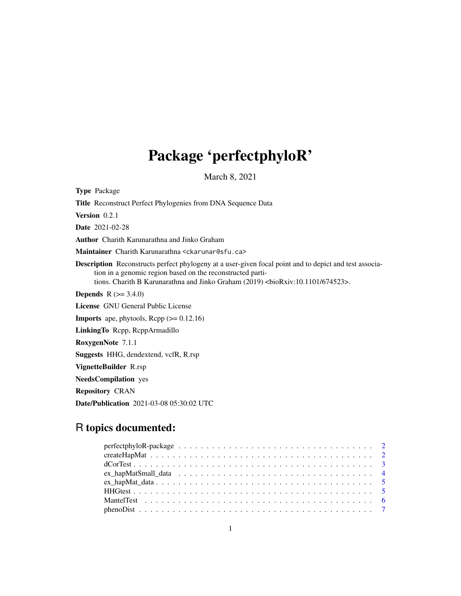# Package 'perfectphyloR'

March 8, 2021

Type Package Title Reconstruct Perfect Phylogenies from DNA Sequence Data Version 0.2.1 Date 2021-02-28 Author Charith Karunarathna and Jinko Graham Maintainer Charith Karunarathna <ckarunar@sfu.ca> Description Reconstructs perfect phylogeny at a user-given focal point and to depict and test association in a genomic region based on the reconstructed partitions. Charith B Karunarathna and Jinko Graham (2019) <br/> <br/> <br/> <br/> <br/>charith 101/674523>. **Depends**  $R (= 3.4.0)$ License GNU General Public License **Imports** ape, phytools,  $\text{Rcpp} (> = 0.12.16)$ LinkingTo Rcpp, RcppArmadillo RoxygenNote 7.1.1 Suggests HHG, dendextend, vcfR, R.rsp VignetteBuilder R.rsp NeedsCompilation yes Repository CRAN

Date/Publication 2021-03-08 05:30:02 UTC

# R topics documented: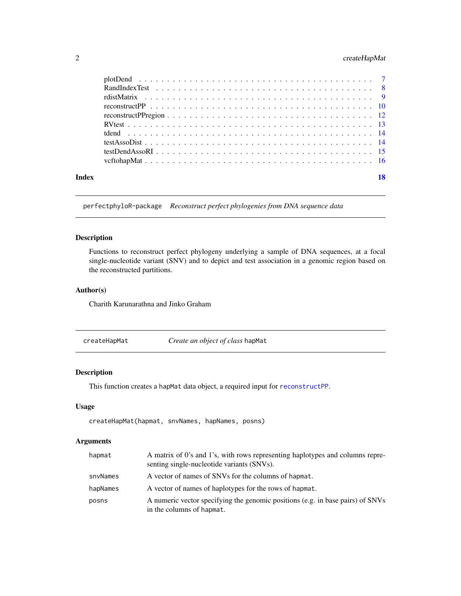# <span id="page-1-0"></span>2 createHapMat

| Index |  |
|-------|--|

perfectphyloR-package *Reconstruct perfect phylogenies from DNA sequence data*

#### Description

Functions to reconstruct perfect phylogeny underlying a sample of DNA sequences, at a focal single-nucleotide variant (SNV) and to depict and test association in a genomic region based on the reconstructed partitions.

# Author(s)

Charith Karunarathna and Jinko Graham

<span id="page-1-1"></span>

# Description

This function creates a hapMat data object, a required input for [reconstructPP](#page-9-1).

# Usage

createHapMat(hapmat, snvNames, hapNames, posns)

# Arguments

| hapmat   | A matrix of 0's and 1's, with rows representing haplotypes and columns repre-<br>senting single-nucleotide variants (SNVs). |
|----------|-----------------------------------------------------------------------------------------------------------------------------|
| snyNames | A vector of names of SNVs for the columns of hapmat.                                                                        |
| hapNames | A vector of names of haplotypes for the rows of hapmat.                                                                     |
| posns    | A numeric vector specifying the genomic positions (e.g. in base pairs) of SNVs<br>in the columns of hapmat.                 |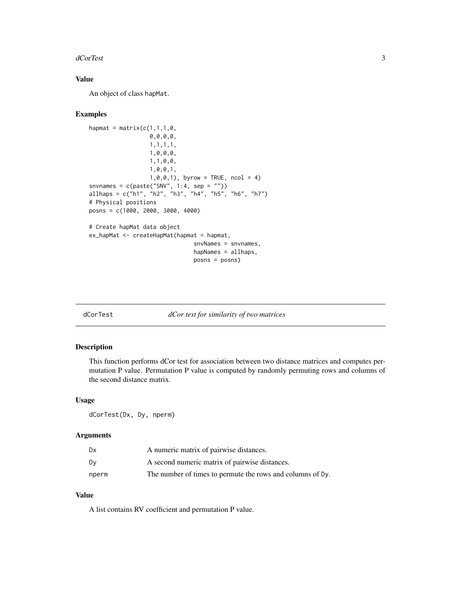#### <span id="page-2-0"></span>dCorTest 3

# Value

An object of class hapMat.

#### Examples

```
hapmat = matrix(c(1,1,1,0,0,0,0,0,
                  1,1,1,1,
                  1,0,0,0,
                  1,1,0,0,
                  1,0,0,1,
                  1, 0, 0, 1), byrow = TRUE, ncol = 4)
snvnames = c(paste("SNV", 1:4, sep = ""))
allhaps = c("h1", "h2", "h3", "h4", "h5", "h6", "h7")
# Physical positions
posns = c(1000, 2000, 3000, 4000)
# Create hapMat data object
ex_hapMat <- createHapMat(hapmat = hapmat,
                               snvNames = snvnames,
                               hapNames = allhaps,
                                posns = posns)
```
<span id="page-2-1"></span>dCorTest *dCor test for similarity of two matrices*

#### Description

This function performs dCor test for association between two distance matrices and computes permutation P value. Permutation P value is computed by randomly permuting rows and columns of the second distance matrix.

#### Usage

dCorTest(Dx, Dy, nperm)

# Arguments

| Dx    | A numeric matrix of pairwise distances.                    |
|-------|------------------------------------------------------------|
| Dv    | A second numeric matrix of pairwise distances.             |
| nperm | The number of times to permute the rows and columns of Dy. |

# Value

A list contains RV coefficient and permutation P value.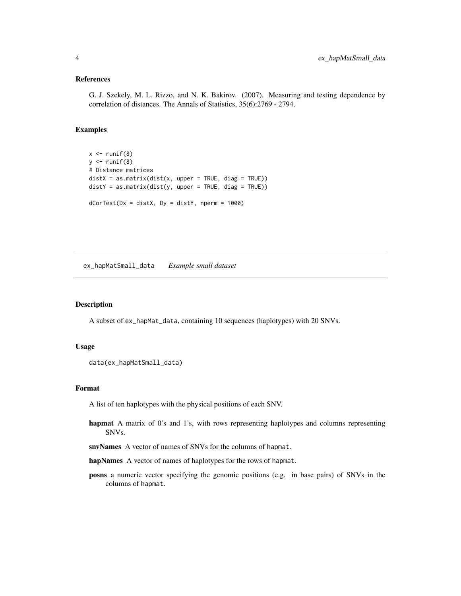# <span id="page-3-0"></span>References

G. J. Szekely, M. L. Rizzo, and N. K. Bakirov. (2007). Measuring and testing dependence by correlation of distances. The Annals of Statistics, 35(6):2769 - 2794.

# Examples

```
x \leftarrow runif(8)y \leftarrow runif(8)# Distance matrices
distX = as_matrix(dist(x, upper = TRUE, diag = TRUE))distY = as_matrix(dist(y, upper = TRUE, diag = TRUE))dCorTest(Dx = distX, Dy = distY, nperm = 1000)
```
ex\_hapMatSmall\_data *Example small dataset*

#### Description

A subset of ex\_hapMat\_data, containing 10 sequences (haplotypes) with 20 SNVs.

#### Usage

```
data(ex_hapMatSmall_data)
```
# Format

A list of ten haplotypes with the physical positions of each SNV.

hapmat A matrix of 0's and 1's, with rows representing haplotypes and columns representing SNVs.

snvNames A vector of names of SNVs for the columns of hapmat.

hapNames A vector of names of haplotypes for the rows of hapmat.

posns a numeric vector specifying the genomic positions (e.g. in base pairs) of SNVs in the columns of hapmat.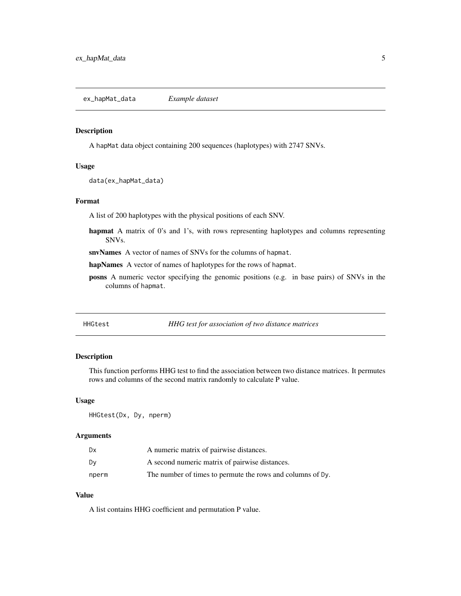<span id="page-4-0"></span>ex\_hapMat\_data *Example dataset*

#### Description

A hapMat data object containing 200 sequences (haplotypes) with 2747 SNVs.

#### Usage

data(ex\_hapMat\_data)

# Format

A list of 200 haplotypes with the physical positions of each SNV.

hapmat A matrix of 0's and 1's, with rows representing haplotypes and columns representing SNVs.

snvNames A vector of names of SNVs for the columns of hapmat.

hapNames A vector of names of haplotypes for the rows of hapmat.

posns A numeric vector specifying the genomic positions (e.g. in base pairs) of SNVs in the columns of hapmat.

<span id="page-4-1"></span>

| HHGtest |  |
|---------|--|
|---------|--|

HHG test for association of two distance matrices

# Description

This function performs HHG test to find the association between two distance matrices. It permutes rows and columns of the second matrix randomly to calculate P value.

#### Usage

HHGtest(Dx, Dy, nperm)

# Arguments

| Dx    | A numeric matrix of pairwise distances.                    |
|-------|------------------------------------------------------------|
| Dv    | A second numeric matrix of pairwise distances.             |
| nperm | The number of times to permute the rows and columns of Dy. |

# Value

A list contains HHG coefficient and permutation P value.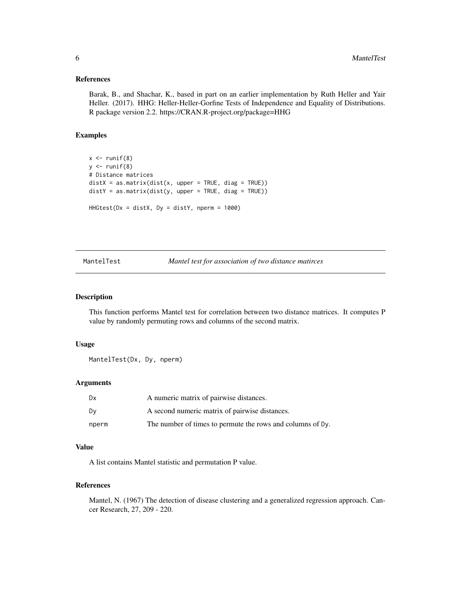#### <span id="page-5-0"></span>References

Barak, B., and Shachar, K., based in part on an earlier implementation by Ruth Heller and Yair Heller. (2017). HHG: Heller-Heller-Gorfine Tests of Independence and Equality of Distributions. R package version 2.2. https://CRAN.R-project.org/package=HHG

#### Examples

```
x \leftarrow runif(8)y \leftarrow runif(8)# Distance matrices
distX = as_matrix(dist(x, upper = TRUE, diag = TRUE))distY = as.matrix(dist(y, upper = TRUE, diag = TRUE))
H H G test(Dx = distX, Dy = distY, nperm = 1000)
```
<span id="page-5-1"></span>MantelTest *Mantel test for association of two distance matirces*

#### Description

This function performs Mantel test for correlation between two distance matrices. It computes P value by randomly permuting rows and columns of the second matrix.

#### Usage

MantelTest(Dx, Dy, nperm)

#### Arguments

| Dx    | A numeric matrix of pairwise distances.                    |
|-------|------------------------------------------------------------|
| Dy    | A second numeric matrix of pairwise distances.             |
| nperm | The number of times to permute the rows and columns of Dy. |

#### Value

A list contains Mantel statistic and permutation P value.

#### References

Mantel, N. (1967) The detection of disease clustering and a generalized regression approach. Cancer Research, 27, 209 - 220.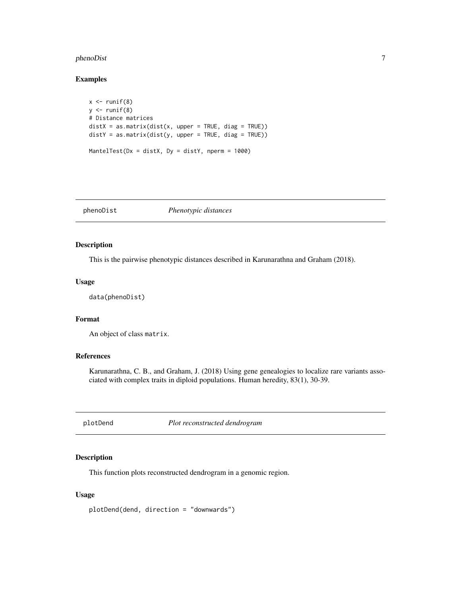# <span id="page-6-0"></span>phenoDist 7

# Examples

```
x \leftarrow runif(8)y \leftarrow runif(8)# Distance matrices
distX = as.matrix(dist(x, upper = TRUE, diag = TRUE))distY = as.matrix(dist(y, upper = TRUE, diag = TRUE))MantelTest(Dx = distX, Dy = distY, nperm = 1000)
```
# phenoDist *Phenotypic distances*

# Description

This is the pairwise phenotypic distances described in Karunarathna and Graham (2018).

#### Usage

data(phenoDist)

# Format

An object of class matrix.

# References

Karunarathna, C. B., and Graham, J. (2018) Using gene genealogies to localize rare variants associated with complex traits in diploid populations. Human heredity, 83(1), 30-39.

plotDend *Plot reconstructed dendrogram*

# Description

This function plots reconstructed dendrogram in a genomic region.

#### Usage

plotDend(dend, direction = "downwards")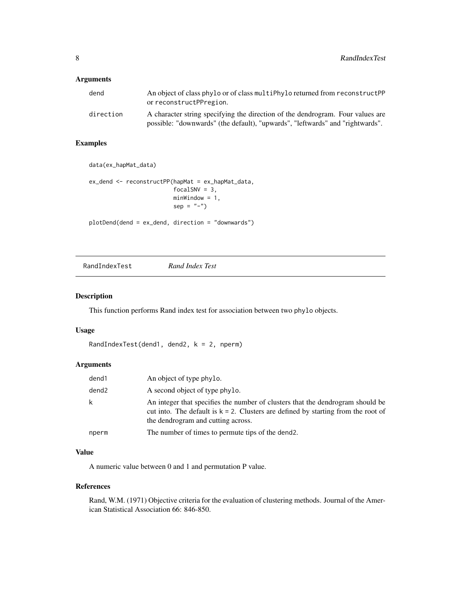# <span id="page-7-0"></span>Arguments

| dend      | An object of class phylo or of class multiphylo returned from reconstructPP<br>or reconstructPPregion.                                                          |  |  |  |  |  |
|-----------|-----------------------------------------------------------------------------------------------------------------------------------------------------------------|--|--|--|--|--|
| direction | A character string specifying the direction of the dendrogram. Four values are<br>possible: "downwards" (the default), "upwards", "leftwards" and "rightwards". |  |  |  |  |  |

# Examples

```
data(ex_hapMat_data)
```

```
ex_dend <- reconstructPP(hapMat = ex_hapMat_data,
                        focalSNV = 3,
                        minWindow = 1,
                        sep = "-")plotDend(dend = ex_dend, direction = "downwards")
```
RandIndexTest *Rand Index Test*

# Description

This function performs Rand index test for association between two phylo objects.

#### Usage

```
RandIndexTest(dend1, dend2, k = 2, nperm)
```
# Arguments

| dend1             | An object of type phylo.                                                                                                                                                                                     |
|-------------------|--------------------------------------------------------------------------------------------------------------------------------------------------------------------------------------------------------------|
| dend <sub>2</sub> | A second object of type phylo.                                                                                                                                                                               |
| k                 | An integer that specifies the number of clusters that the dendrogram should be<br>cut into. The default is $k = 2$ . Clusters are defined by starting from the root of<br>the dendrogram and cutting across. |
| nperm             | The number of times to permute tips of the dend.                                                                                                                                                             |

# Value

A numeric value between 0 and 1 and permutation P value.

#### References

Rand, W.M. (1971) Objective criteria for the evaluation of clustering methods. Journal of the American Statistical Association 66: 846-850.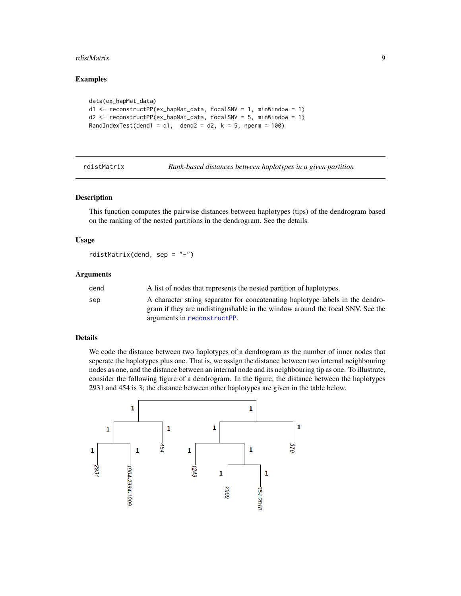#### <span id="page-8-0"></span>rdistMatrix 9

#### Examples

```
data(ex_hapMat_data)
d1 <- reconstructPP(ex_hapMat_data, focalSNV = 1, minWindow = 1)
d2 <- reconstructPP(ex_hapMat_data, focalSNV = 5, minWindow = 1)
RandIndexTest(dend1 = d1, dend2 = d2, k = 5, nperm = 100)
```
rdistMatrix *Rank-based distances between haplotypes in a given partition*

# Description

This function computes the pairwise distances between haplotypes (tips) of the dendrogram based on the ranking of the nested partitions in the dendrogram. See the details.

#### Usage

rdistMatrix(dend, sep = "-")

#### Arguments

| dend | A list of nodes that represents the nested partition of haplotypes.            |
|------|--------------------------------------------------------------------------------|
| sep  | A character string separator for concatenating haplotype labels in the dendro- |
|      | gram if they are undistingushable in the window around the focal SNV. See the  |
|      | arguments in reconstructPP.                                                    |

#### Details

We code the distance between two haplotypes of a dendrogram as the number of inner nodes that seperate the haplotypes plus one. That is, we assign the distance between two internal neighbouring nodes as one, and the distance between an internal node and its neighbouring tip as one. To illustrate, consider the following figure of a dendrogram. In the figure, the distance between the haplotypes 2931 and 454 is 3; the distance between other haplotypes are given in the table below.

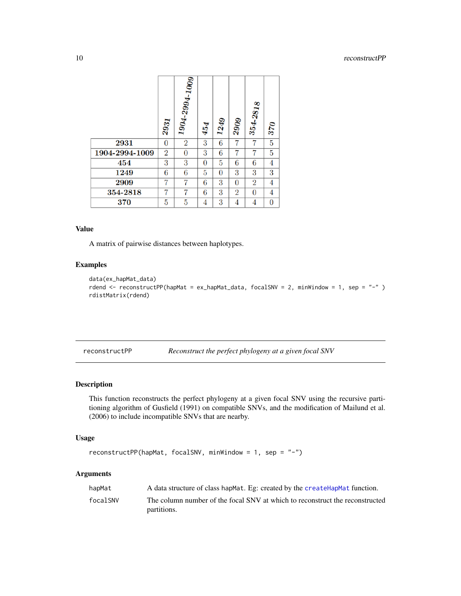<span id="page-9-0"></span>

|                | 2931           | $1904-2994-1009$ | 454 | 1249           | 2909           | $354 - 2818$   | 370            |
|----------------|----------------|------------------|-----|----------------|----------------|----------------|----------------|
| 2931           | $\overline{0}$ | $\overline{2}$   | 3   | 6              | 7              |                | 5              |
| 1904-2994-1009 | $\overline{2}$ | 0                | 3   | 6              | 7              | 7              | 5              |
| 454            | 3              | 3                | 0   | 5              | 6              | 6              | 4              |
| 1249           | 6              | 6                | 5   | $\overline{0}$ | 3              | 3              | 3              |
| 2909           | 7              |                  | 6   | 3              | $\overline{0}$ | $\rm{2}$       | 4              |
| 354-2818       | 7              |                  | 6   | 3              | $\overline{2}$ | $\overline{0}$ | 4              |
| 370            | 5              | 5                | 4   | 3              | 4              | 4              | $\overline{0}$ |

#### Value

A matrix of pairwise distances between haplotypes.

# Examples

```
data(ex_hapMat_data)
rdend <- reconstructPP(hapMat = ex_hapMat_data, focalSNV = 2, minWindow = 1, sep = "-" )
rdistMatrix(rdend)
```
<span id="page-9-1"></span>reconstructPP *Reconstruct the perfect phylogeny at a given focal SNV*

# Description

This function reconstructs the perfect phylogeny at a given focal SNV using the recursive partitioning algorithm of Gusfield (1991) on compatible SNVs, and the modification of Mailund et al. (2006) to include incompatible SNVs that are nearby.

# Usage

```
reconstructPP(hapMat, focalSNV, minWindow = 1, sep = "-")
```
# Arguments

| hapMat   | A data structure of class hapMat. Eg: created by the createHapMat function.                 |
|----------|---------------------------------------------------------------------------------------------|
| focalSNV | The column number of the focal SNV at which to reconstruct the reconstructed<br>partitions. |
|          |                                                                                             |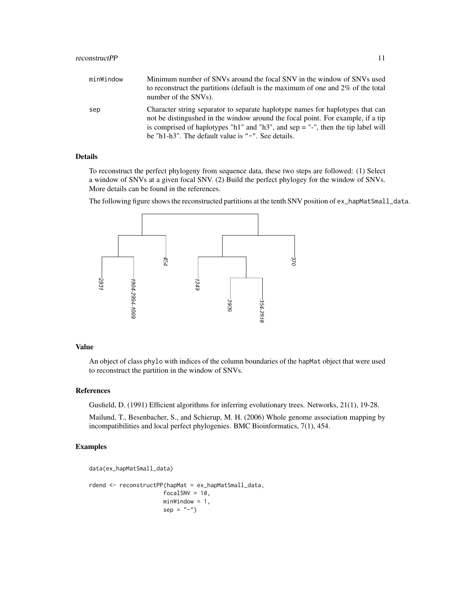| minWindow | Minimum number of SNVs around the focal SNV in the window of SNVs used<br>to reconstruct the partitions (default is the maximum of one and $2\%$ of the total<br>number of the SNVs).                                                                                                                         |
|-----------|---------------------------------------------------------------------------------------------------------------------------------------------------------------------------------------------------------------------------------------------------------------------------------------------------------------|
| sep       | Character string separator to separate haplotype names for haplotypes that can<br>not be distingushed in the window around the focal point. For example, if a tip<br>is comprised of haplotypes "h1" and "h3", and sep $=$ "-", then the tip label will<br>be "h1-h3". The default value is "-". See details. |

# Details

To reconstruct the perfect phylogeny from sequence data, these two steps are followed: (1) Select a window of SNVs at a given focal SNV. (2) Build the perfect phylogey for the window of SNVs. More details can be found in the references.

The following figure shows the reconstructed partitions at the tenth SNV position of ex\_hapMatSmall\_data.



#### Value

An object of class phylo with indices of the column boundaries of the hapMat object that were used to reconstruct the partition in the window of SNVs.

#### References

Gusfield, D. (1991) Efficient algorithms for inferring evolutionary trees. Networks, 21(1), 19-28.

Mailund, T., Besenbacher, S., and Schierup, M. H. (2006) Whole genome association mapping by incompatibilities and local perfect phylogenies. BMC Bioinformatics, 7(1), 454.

# Examples

```
data(ex_hapMatSmall_data)
rdend <- reconstructPP(hapMat = ex_hapMatSmall_data,
                     focalSNV = 10,minWindow = 1,
                     sep = "-")
```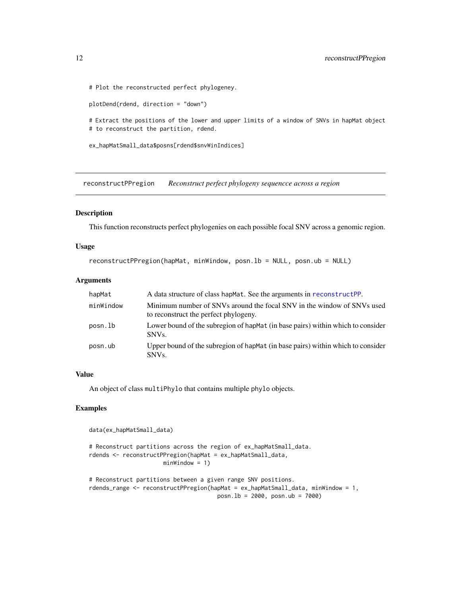# Plot the reconstructed perfect phylogeney.

plotDend(rdend, direction = "down")

# Extract the positions of the lower and upper limits of a window of SNVs in hapMat object # to reconstruct the partition, rdend.

ex\_hapMatSmall\_data\$posns[rdend\$snvWinIndices]

reconstructPPregion *Reconstruct perfect phylogeny sequencce across a region*

# Description

This function reconstructs perfect phylogenies on each possible focal SNV across a genomic region.

#### Usage

```
reconstructPPregion(hapMat, minWindow, posn.lb = NULL, posn.ub = NULL)
```
#### Arguments

| hapMat    | A data structure of class hap Mat. See the arguments in reconstruct PP.                                         |
|-----------|-----------------------------------------------------------------------------------------------------------------|
| minWindow | Minimum number of SNVs around the focal SNV in the window of SNVs used<br>to reconstruct the perfect phylogeny. |
| posn.lb   | Lower bound of the subregion of hapMat (in base pairs) within which to consider<br>SNV <sub>s</sub>             |
| posn.ub   | Upper bound of the subregion of hapMat (in base pairs) within which to consider<br>SNV <sub>s</sub>             |

# Value

An object of class multiPhylo that contains multiple phylo objects.

#### Examples

```
data(ex_hapMatSmall_data)
```

```
# Reconstruct partitions across the region of ex_hapMatSmall_data.
rdends <- reconstructPPregion(hapMat = ex_hapMatSmall_data,
                      minWindow = 1)
```

```
# Reconstruct partitions between a given range SNV positions.
rdends_range <- reconstructPPregion(hapMat = ex_hapMatSmall_data, minWindow = 1,
                                     posn.lb = 2000, posn.ub = 7000)
```
<span id="page-11-0"></span>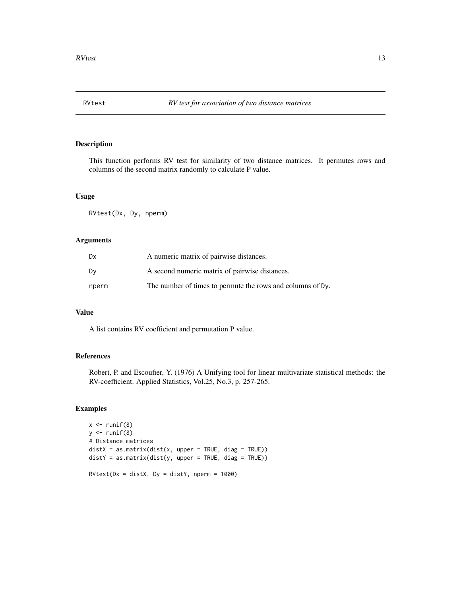<span id="page-12-1"></span><span id="page-12-0"></span>

# Description

This function performs RV test for similarity of two distance matrices. It permutes rows and columns of the second matrix randomly to calculate P value.

#### Usage

RVtest(Dx, Dy, nperm)

# Arguments

| Dx    | A numeric matrix of pairwise distances.                    |
|-------|------------------------------------------------------------|
| Dv    | A second numeric matrix of pairwise distances.             |
| nperm | The number of times to permute the rows and columns of Dy. |

# Value

A list contains RV coefficient and permutation P value.

# References

Robert, P. and Escoufier, Y. (1976) A Unifying tool for linear multivariate statistical methods: the RV-coefficient. Applied Statistics, Vol.25, No.3, p. 257-265.

#### Examples

```
x \leftarrow runif(8)y \leftarrow runif(8)# Distance matrices
distX = as_matrix(dist(x, upper = TRUE, diag = TRUE))distY = as.matrix(dist(y, upper = TRUE, diag = TRUE))
RVtest(Dx = distX, Dy = distY, nperm = 1000)
```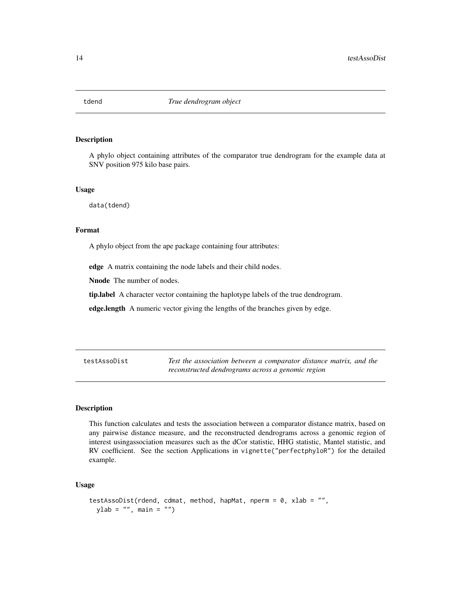<span id="page-13-0"></span>

#### Description

A phylo object containing attributes of the comparator true dendrogram for the example data at SNV position 975 kilo base pairs.

#### Usage

data(tdend)

#### Format

A phylo object from the ape package containing four attributes:

edge A matrix containing the node labels and their child nodes.

Nnode The number of nodes.

tip.label A character vector containing the haplotype labels of the true dendrogram.

edge.length A numeric vector giving the lengths of the branches given by edge.

testAssoDist *Test the association between a comparator distance matrix, and the reconstructed dendrograms across a genomic region*

#### Description

This function calculates and tests the association between a comparator distance matrix, based on any pairwise distance measure, and the reconstructed dendrograms across a genomic region of interest usingassociation measures such as the dCor statistic, HHG statistic, Mantel statistic, and RV coefficient. See the section Applications in vignette("perfectphyloR") for the detailed example.

#### Usage

```
testAssoDist(rdend, cdmat, method, hapMat, nperm = 0, xlab = "",
 ylab = "", main = "")
```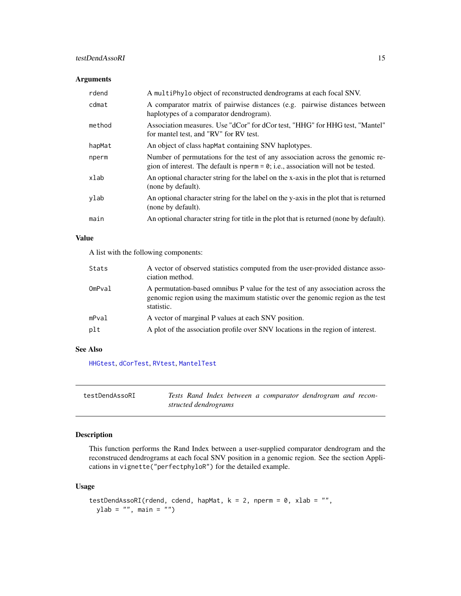# <span id="page-14-0"></span>testDendAssoRI 15

## Arguments

| rdend  | A multiPhylo object of reconstructed dendrograms at each focal SNV.                                                                                                   |
|--------|-----------------------------------------------------------------------------------------------------------------------------------------------------------------------|
| cdmat  | A comparator matrix of pairwise distances (e.g. pairwise distances between<br>haplotypes of a comparator dendrogram).                                                 |
| method | Association measures. Use "dCor" for dCor test, "HHG" for HHG test, "Mantel"<br>for mantel test, and "RV" for RV test.                                                |
| hapMat | An object of class hap Mat containing SNV haplotypes.                                                                                                                 |
| nperm  | Number of permutations for the test of any association across the genomic re-<br>gion of interest. The default is nperm $= 0$ ; i.e., association will not be tested. |
| xlab   | An optional character string for the label on the x-axis in the plot that is returned<br>(none by default).                                                           |
| ylab   | An optional character string for the label on the y-axis in the plot that is returned<br>(none by default).                                                           |
| main   | An optional character string for title in the plot that is returned (none by default).                                                                                |

# Value

A list with the following components:

| Stats  | A vector of observed statistics computed from the user-provided distance asso-<br>ciation method.                                                                              |
|--------|--------------------------------------------------------------------------------------------------------------------------------------------------------------------------------|
| OmPval | A permutation-based omnibus P value for the test of any association across the<br>genomic region using the maximum statistic over the genomic region as the test<br>statistic. |
| mPval  | A vector of marginal P values at each SNV position.                                                                                                                            |
| plt    | A plot of the association profile over SNV locations in the region of interest.                                                                                                |

# See Also

[HHGtest](#page-4-1), [dCorTest](#page-2-1), [RVtest](#page-12-1), [MantelTest](#page-5-1)

| testDendAssoRI | Tests Rand Index between a comparator dendrogram and recon- |  |
|----------------|-------------------------------------------------------------|--|
|                | structed dendrograms                                        |  |

# Description

This function performs the Rand Index between a user-supplied comparator dendrogram and the reconstruced dendrograms at each focal SNV position in a genomic region. See the section Applications in vignette("perfectphyloR") for the detailed example.

#### Usage

```
testDendAssoRI(rdend, cdend, hapMat, k = 2, nperm = 0, xlab = "",
 ylab = "", main = "")
```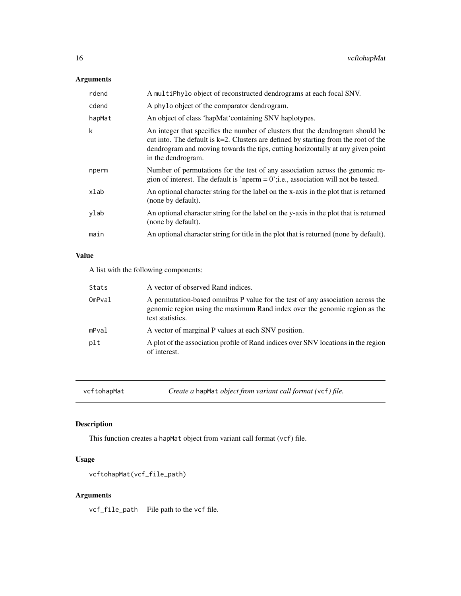# <span id="page-15-0"></span>Arguments

| rdend  | A multiPhylo object of reconstructed dendrograms at each focal SNV.                                                                                                                                                                                                               |
|--------|-----------------------------------------------------------------------------------------------------------------------------------------------------------------------------------------------------------------------------------------------------------------------------------|
| cdend  | A phylo object of the comparator dendrogram.                                                                                                                                                                                                                                      |
| hapMat | An object of class 'hapMat' containing SNV haplotypes.                                                                                                                                                                                                                            |
| k      | An integer that specifies the number of clusters that the dendrogram should be<br>cut into. The default is $k=2$ . Clusters are defined by starting from the root of the<br>dendrogram and moving towards the tips, cutting horizontally at any given point<br>in the dendrogram. |
| nperm  | Number of permutations for the test of any association across the genomic re-<br>gion of interest. The default is 'nperm = $0$ '; i.e., association will not be tested.                                                                                                           |
| xlab   | An optional character string for the label on the x-axis in the plot that is returned<br>(none by default).                                                                                                                                                                       |
| ylab   | An optional character string for the label on the y-axis in the plot that is returned<br>(none by default).                                                                                                                                                                       |
| main   | An optional character string for title in the plot that is returned (none by default).                                                                                                                                                                                            |
|        |                                                                                                                                                                                                                                                                                   |

# Value

A list with the following components:

| Stats  | A vector of observed Rand indices.                                                                                                                                               |
|--------|----------------------------------------------------------------------------------------------------------------------------------------------------------------------------------|
| OmPval | A permutation-based omnibus P value for the test of any association across the<br>genomic region using the maximum Rand index over the genomic region as the<br>test statistics. |
| mPval  | A vector of marginal P values at each SNV position.                                                                                                                              |
| plt    | A plot of the association profile of Rand indices over SNV locations in the region<br>of interest.                                                                               |

vcftohapMat *Create a* hapMat *object from variant call format (*vcf*) file.*

# Description

This function creates a hapMat object from variant call format (vcf) file.

# Usage

```
vcftohapMat(vcf_file_path)
```
# Arguments

vcf\_file\_path File path to the vcf file.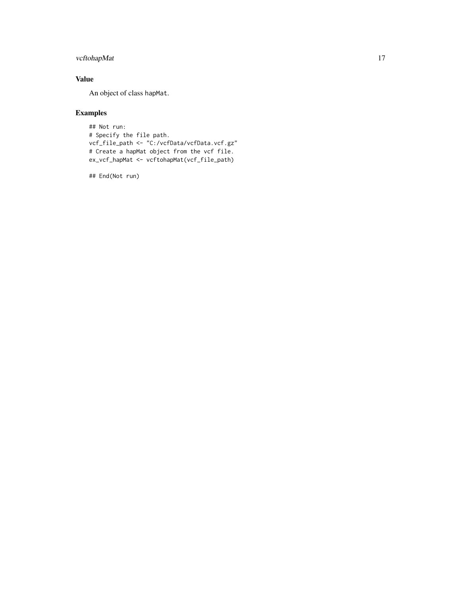# vcftohapMat 17

# Value

An object of class hapMat.

# Examples

```
## Not run:
# Specify the file path.
vcf_file_path <- "C:/vcfData/vcfData.vcf.gz"
# Create a hapMat object from the vcf file.
ex_vcf_hapMat <- vcftohapMat(vcf_file_path)
```
## End(Not run)